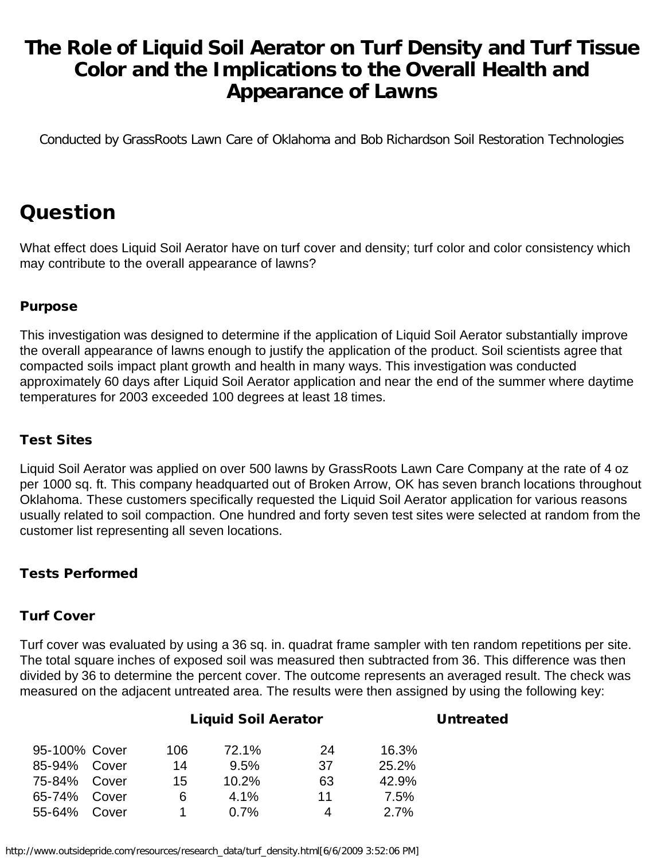## **The Role of Liquid Soil Aerator on Turf Density and Turf Tissue Color and the Implications to the Overall Health and Appearance of Lawns**

Conducted by GrassRoots Lawn Care of Oklahoma and Bob Richardson Soil Restoration Technologies

# Question

What effect does Liquid Soil Aerator have on turf cover and density; turf color and color consistency which may contribute to the overall appearance of lawns?

#### Purpose

This investigation was designed to determine if the application of Liquid Soil Aerator substantially improve the overall appearance of lawns enough to justify the application of the product. Soil scientists agree that compacted soils impact plant growth and health in many ways. This investigation was conducted approximately 60 days after Liquid Soil Aerator application and near the end of the summer where daytime temperatures for 2003 exceeded 100 degrees at least 18 times.

#### Test Sites

Liquid Soil Aerator was applied on over 500 lawns by GrassRoots Lawn Care Company at the rate of 4 oz per 1000 sq. ft. This company headquarted out of Broken Arrow, OK has seven branch locations throughout Oklahoma. These customers specifically requested the Liquid Soil Aerator application for various reasons usually related to soil compaction. One hundred and forty seven test sites were selected at random from the customer list representing all seven locations.

#### Tests Performed

#### Turf Cover

Turf cover was evaluated by using a 36 sq. in. quadrat frame sampler with ten random repetitions per site. The total square inches of exposed soil was measured then subtracted from 36. This difference was then divided by 36 to determine the percent cover. The outcome represents an averaged result. The check was measured on the adjacent untreated area. The results were then assigned by using the following key:

|               |       | <b>Liquid Soil Aerator</b> | <b>Untreated</b> |    |       |  |
|---------------|-------|----------------------------|------------------|----|-------|--|
| 95-100% Cover |       | 106                        | 72.1%            | 24 | 16.3% |  |
| $85 - 94\%$   | Cover | 14                         | $9.5\%$          | 37 | 25.2% |  |
| 75-84%        | Cover | 15                         | $10.2\%$         | 63 | 42.9% |  |
| 65-74%        | Cover | 6                          | 4.1%             | 11 | 7.5%  |  |
| 55-64%        | Cover |                            | 0.7%             | 4  | 2.7%  |  |
|               |       |                            |                  |    |       |  |

http://www.outsidepride.com/resources/research\_data/turf\_density.html[6/6/2009 3:52:06 PM]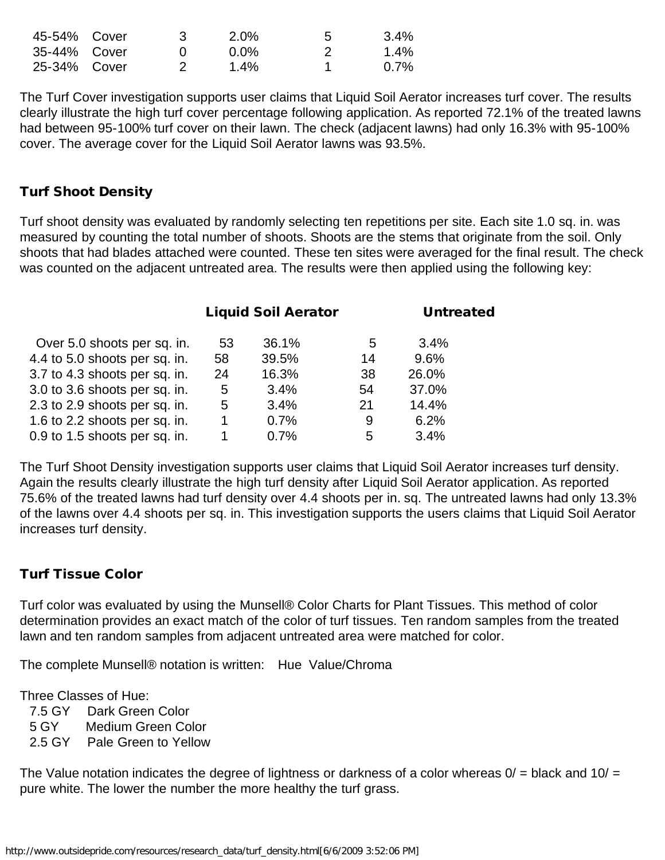| 45-54% Cover | $2.0\%$ | 5 | 3.4% |
|--------------|---------|---|------|
| 35-44% Cover | 0.0%    |   | 1.4% |
| 25-34% Cover | 1.4%    |   | 0.7% |

The Turf Cover investigation supports user claims that Liquid Soil Aerator increases turf cover. The results clearly illustrate the high turf cover percentage following application. As reported 72.1% of the treated lawns had between 95-100% turf cover on their lawn. The check (adjacent lawns) had only 16.3% with 95-100% cover. The average cover for the Liquid Soil Aerator lawns was 93.5%.

#### Turf Shoot Density

Turf shoot density was evaluated by randomly selecting ten repetitions per site. Each site 1.0 sq. in. was measured by counting the total number of shoots. Shoots are the stems that originate from the soil. Only shoots that had blades attached were counted. These ten sites were averaged for the final result. The check was counted on the adjacent untreated area. The results were then applied using the following key:

|    |       |    | <b>Untreated</b>           |  |
|----|-------|----|----------------------------|--|
| 53 | 36.1% | 5  | 3.4%                       |  |
| 58 | 39.5% | 14 | 9.6%                       |  |
| 24 | 16.3% | 38 | 26.0%                      |  |
| 5  | 3.4%  | 54 | 37.0%                      |  |
| 5  | 3.4%  | 21 | 14.4%                      |  |
| 1  | 0.7%  | 9  | 6.2%                       |  |
|    | 0.7%  | 5  | 3.4%                       |  |
|    |       |    | <b>Liquid Soil Aerator</b> |  |

The Turf Shoot Density investigation supports user claims that Liquid Soil Aerator increases turf density. Again the results clearly illustrate the high turf density after Liquid Soil Aerator application. As reported 75.6% of the treated lawns had turf density over 4.4 shoots per in. sq. The untreated lawns had only 13.3% of the lawns over 4.4 shoots per sq. in. This investigation supports the users claims that Liquid Soil Aerator increases turf density.

#### Turf Tissue Color

Turf color was evaluated by using the Munsell® Color Charts for Plant Tissues. This method of color determination provides an exact match of the color of turf tissues. Ten random samples from the treated lawn and ten random samples from adjacent untreated area were matched for color.

The complete Munsell® notation is written: Hue Value/Chroma

Three Classes of Hue:

7.5 GY Dark Green Color

5 GY Medium Green Color

2.5 GY Pale Green to Yellow

The Value notation indicates the degree of lightness or darkness of a color whereas  $0/$  = black and  $10/$  = pure white. The lower the number the more healthy the turf grass.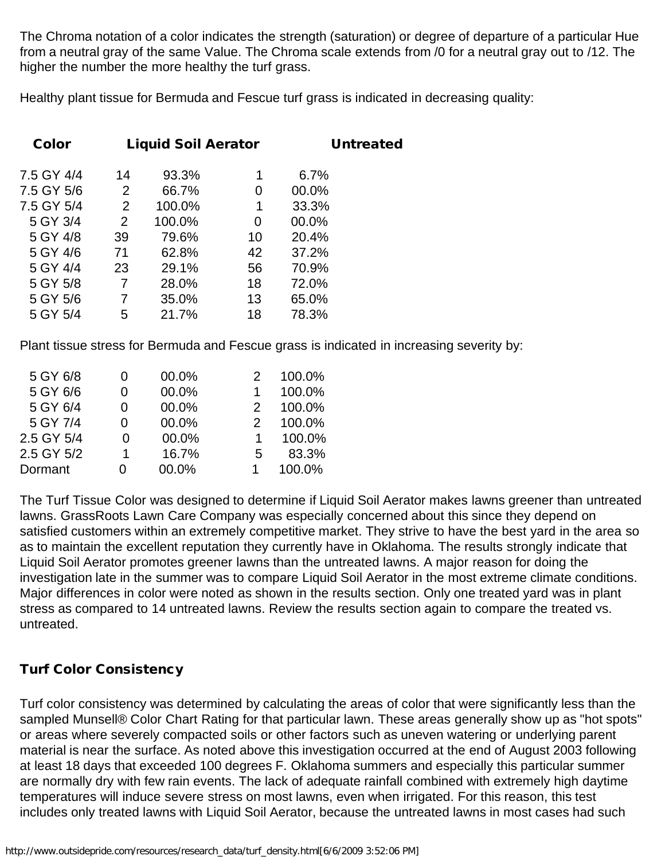The Chroma notation of a color indicates the strength (saturation) or degree of departure of a particular Hue from a neutral gray of the same Value. The Chroma scale extends from /0 for a neutral gray out to /12. The higher the number the more healthy the turf grass.

Healthy plant tissue for Bermuda and Fescue turf grass is indicated in decreasing quality:

| <b>Color</b> |                | <b>Liquid Soil Aerator</b> |    |       | <b>Untreated</b> |
|--------------|----------------|----------------------------|----|-------|------------------|
| 7.5 GY 4/4   | 14             | 93.3%                      | 1  | 6.7%  |                  |
| 7.5 GY 5/6   | $\overline{2}$ | 66.7%                      | 0  | 00.0% |                  |
| 7.5 GY 5/4   | 2              | 100.0%                     | 1  | 33.3% |                  |
| 5 GY 3/4     | 2              | 100.0%                     | 0  | 00.0% |                  |
| 5 GY 4/8     | 39             | 79.6%                      | 10 | 20.4% |                  |
| 5 GY 4/6     | 71             | 62.8%                      | 42 | 37.2% |                  |
| 5 GY 4/4     | 23             | 29.1%                      | 56 | 70.9% |                  |
| 5 GY 5/8     | 7              | 28.0%                      | 18 | 72.0% |                  |
| 5 GY 5/6     | 7              | 35.0%                      | 13 | 65.0% |                  |
| 5 GY 5/4     | 5              | 21.7%                      | 18 | 78.3% |                  |
|              |                |                            |    |       |                  |

Plant tissue stress for Bermuda and Fescue grass is indicated in increasing severity by:

|   | 100.0% |
|---|--------|
|   | 100.0% |
|   | 100.0% |
|   | 100.0% |
|   | 100.0% |
| 5 | 83.3%  |
|   | 100.0% |
|   |        |

The Turf Tissue Color was designed to determine if Liquid Soil Aerator makes lawns greener than untreated lawns. GrassRoots Lawn Care Company was especially concerned about this since they depend on satisfied customers within an extremely competitive market. They strive to have the best yard in the area so as to maintain the excellent reputation they currently have in Oklahoma. The results strongly indicate that Liquid Soil Aerator promotes greener lawns than the untreated lawns. A major reason for doing the investigation late in the summer was to compare Liquid Soil Aerator in the most extreme climate conditions. Major differences in color were noted as shown in the results section. Only one treated yard was in plant stress as compared to 14 untreated lawns. Review the results section again to compare the treated vs. untreated.

#### Turf Color Consistency

Turf color consistency was determined by calculating the areas of color that were significantly less than the sampled Munsell® Color Chart Rating for that particular lawn. These areas generally show up as "hot spots" or areas where severely compacted soils or other factors such as uneven watering or underlying parent material is near the surface. As noted above this investigation occurred at the end of August 2003 following at least 18 days that exceeded 100 degrees F. Oklahoma summers and especially this particular summer are normally dry with few rain events. The lack of adequate rainfall combined with extremely high daytime temperatures will induce severe stress on most lawns, even when irrigated. For this reason, this test includes only treated lawns with Liquid Soil Aerator, because the untreated lawns in most cases had such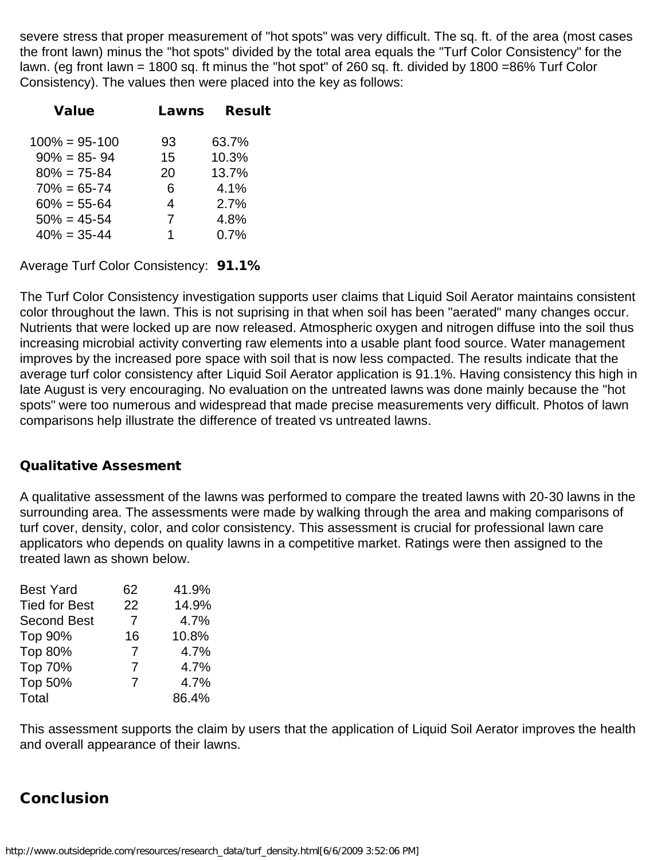severe stress that proper measurement of "hot spots" was very difficult. The sq. ft. of the area (most cases the front lawn) minus the "hot spots" divided by the total area equals the "Turf Color Consistency" for the lawn. (eg front lawn = 1800 sq. ft minus the "hot spot" of 260 sq. ft. divided by 1800 =86% Turf Color Consistency). The values then were placed into the key as follows:

| Lawns | <b>Result</b> |
|-------|---------------|
|       |               |
| 93    | 63.7%         |
| 15    | 10.3%         |
| 20    | 13.7%         |
| 6     | 4.1%          |
| 4     | 2.7%          |
| 7     | 4.8%          |
| 1     | 0.7%          |
|       |               |

Average Turf Color Consistency: 91.1%

The Turf Color Consistency investigation supports user claims that Liquid Soil Aerator maintains consistent color throughout the lawn. This is not suprising in that when soil has been "aerated" many changes occur. Nutrients that were locked up are now released. Atmospheric oxygen and nitrogen diffuse into the soil thus increasing microbial activity converting raw elements into a usable plant food source. Water management improves by the increased pore space with soil that is now less compacted. The results indicate that the average turf color consistency after Liquid Soil Aerator application is 91.1%. Having consistency this high in late August is very encouraging. No evaluation on the untreated lawns was done mainly because the "hot spots" were too numerous and widespread that made precise measurements very difficult. Photos of lawn comparisons help illustrate the difference of treated vs untreated lawns.

#### Qualitative Assesment

A qualitative assessment of the lawns was performed to compare the treated lawns with 20-30 lawns in the surrounding area. The assessments were made by walking through the area and making comparisons of turf cover, density, color, and color consistency. This assessment is crucial for professional lawn care applicators who depends on quality lawns in a competitive market. Ratings were then assigned to the treated lawn as shown below.

| <b>Best Yard</b>     | 62 | 41.9% |
|----------------------|----|-------|
| <b>Tied for Best</b> | 22 | 14.9% |
| <b>Second Best</b>   | 7  | 4.7%  |
| Top 90%              | 16 | 10.8% |
| Top 80%              | 7  | 4.7%  |
| Top 70%              | 7  | 4.7%  |
| Top 50%              | 7  | 4.7%  |
| Total                |    | 86.4% |

This assessment supports the claim by users that the application of Liquid Soil Aerator improves the health and overall appearance of their lawns.

### **Conclusion**